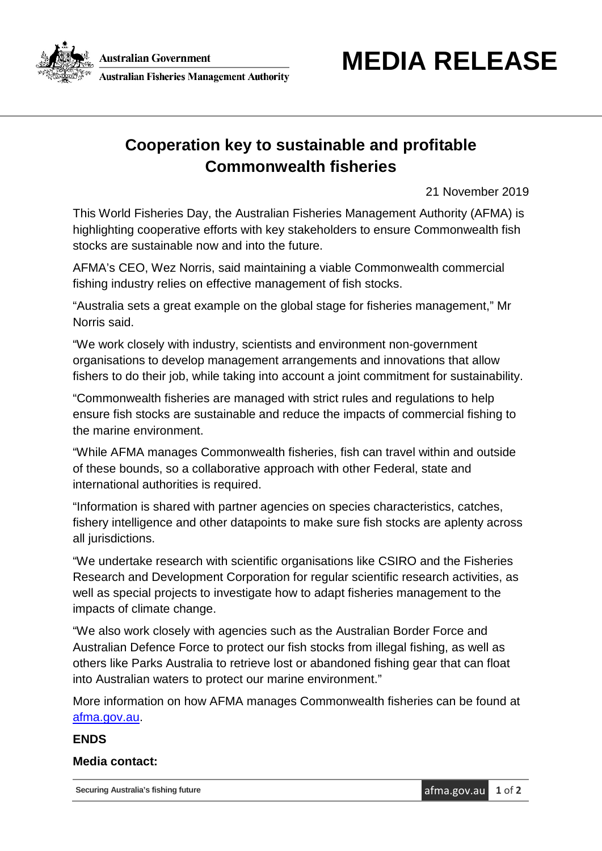

## **Cooperation key to sustainable and profitable Commonwealth fisheries**

21 November 2019

This World Fisheries Day, the Australian Fisheries Management Authority (AFMA) is highlighting cooperative efforts with key stakeholders to ensure Commonwealth fish stocks are sustainable now and into the future.

AFMA's CEO, Wez Norris, said maintaining a viable Commonwealth commercial fishing industry relies on effective management of fish stocks.

"Australia sets a great example on the global stage for fisheries management," Mr Norris said.

"We work closely with industry, scientists and environment non-government organisations to develop management arrangements and innovations that allow fishers to do their job, while taking into account a joint commitment for sustainability.

"Commonwealth fisheries are managed with strict rules and regulations to help ensure fish stocks are sustainable and reduce the impacts of commercial fishing to the marine environment.

"While AFMA manages Commonwealth fisheries, fish can travel within and outside of these bounds, so a collaborative approach with other Federal, state and international authorities is required.

"Information is shared with partner agencies on species characteristics, catches, fishery intelligence and other datapoints to make sure fish stocks are aplenty across all jurisdictions.

"We undertake research with scientific organisations like CSIRO and the Fisheries Research and Development Corporation for regular scientific research activities, as well as special projects to investigate how to adapt fisheries management to the impacts of climate change.

"We also work closely with agencies such as the Australian Border Force and Australian Defence Force to protect our fish stocks from illegal fishing, as well as others like Parks Australia to retrieve lost or abandoned fishing gear that can float into Australian waters to protect our marine environment."

More information on how AFMA manages Commonwealth fisheries can be found at [afma.gov.au.](https://www.afma.gov.au/fisheries-management)

## **ENDS**

## **Media contact:**

**Securing Australia's fishing future** and the security of **a** afma.gov.au **1** of **2**